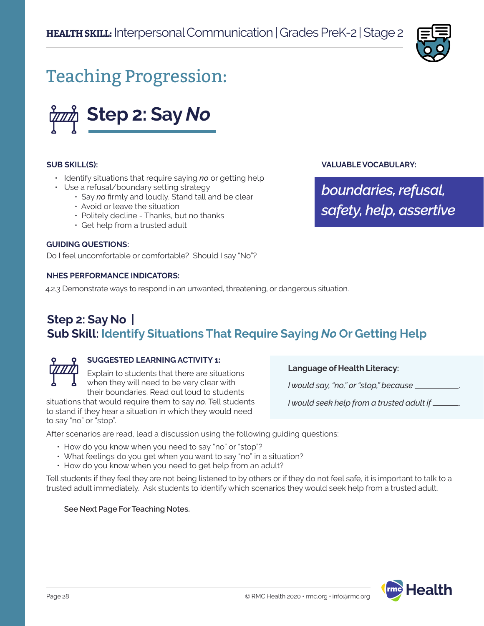

# Teaching Progression:



#### **SUB SKILL(S):**

- Identify situations that require saying *no* or getting help
- Use a refusal/boundary setting strategy
	- Say *no* firmly and loudly. Stand tall and be clear
	- Avoid or leave the situation
	- Politely decline Thanks, but no thanks
	- Get help from a trusted adult

### **GUIDING QUESTIONS:**

Do I feel uncomfortable or comfortable? Should I say "No"?

#### **NHES PERFORMANCE INDICATORS:**

4.2.3 Demonstrate ways to respond in an unwanted, threatening, or dangerous situation.

### **Step 2: Say No | Sub Skill: Identify Situations That Require Saying** *No* **Or Getting Help**



#### **SUGGESTED LEARNING ACTIVITY 1:**

Explain to students that there are situations when they will need to be very clear with their boundaries. Read out loud to students

situations that would require them to say *no*. Tell students to stand if they hear a situation in which they would need to say "no" or "stop".

**Language of Health Literacy:**

*I would say, "no," or "stop," because* .

*I would seek help from a trusted adult if* .

**VALUABLE VOCABULARY:**

*boundaries, refusal,* 

*safety, help, assertive*

After scenarios are read, lead a discussion using the following guiding questions:

- How do you know when you need to say "no" or "stop"?
- What feelings do you get when you want to say "no" in a situation?
- How do you know when you need to get help from an adult?

Tell students if they feel they are not being listened to by others or if they do not feel safe, it is important to talk to a trusted adult immediately. Ask students to identify which scenarios they would seek help from a trusted adult.

#### **See Next Page For Teaching Notes.**

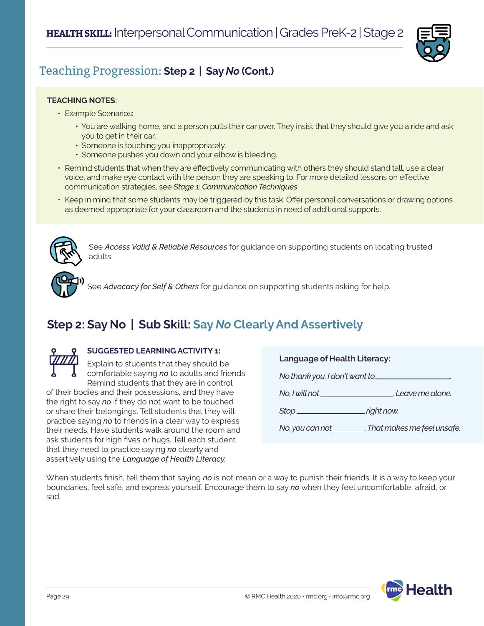

### Teaching Progression: **Step 2 | Say** *No* **(Cont.)**

#### **TEACHING NOTES:**

- Example Scenarios:
	- You are walking home, and a person pulls their car over. They insist that they should give you a ride and ask you to get in their car.
	- Someone is touching you inappropriately.
	- Someone pushes you down and your elbow is bleeding.
- Remind students that when they are effectively communicating with others they should stand tall, use a clear voice, and make eye contact with the person they are speaking to. For more detailed lessons on effective communication strategies, see *Stage 1: Communication Techniques*.
- Keep in mind that some students may be triggered by this task. Offer personal conversations or drawing options as deemed appropriate for your classroom and the students in need of additional supports.



See *Access Valid & Reliable Resources* for guidance on supporting students on locating trusted adults.



See *Advocacy for Self & Others* for guidance on supporting students asking for help.

# **Step 2: Say No | Sub Skill: Say** *No* **Clearly And Assertively**



### **SUGGESTED LEARNING ACTIVITY 1:**

Explain to students that they should be comfortable saying *no* to adults and friends. Remind students that they are in control

of their bodies and their possessions, and they have the right to say *no* if they do not want to be touched or share their belongings. Tell students that they will practice saying *no* to friends in a clear way to express their needs. Have students walk around the room and ask students for high fives or hugs. Tell each student that they need to practice saying *no* clearly and assertively using the *Language of Health Literacy.* 

**Language of Health Literacy:**

*No thank you, I don't want to* 

*No, I will not* . *Leave me alone.*

**Stop** right now.

*No, you can not . That makes me feel unsafe.*

When students finish, tell them that saying *no* is not mean or a way to punish their friends. It is a way to keep your boundaries, feel safe, and express yourself. Encourage them to say *no* when they feel uncomfortable, afraid, or sad.